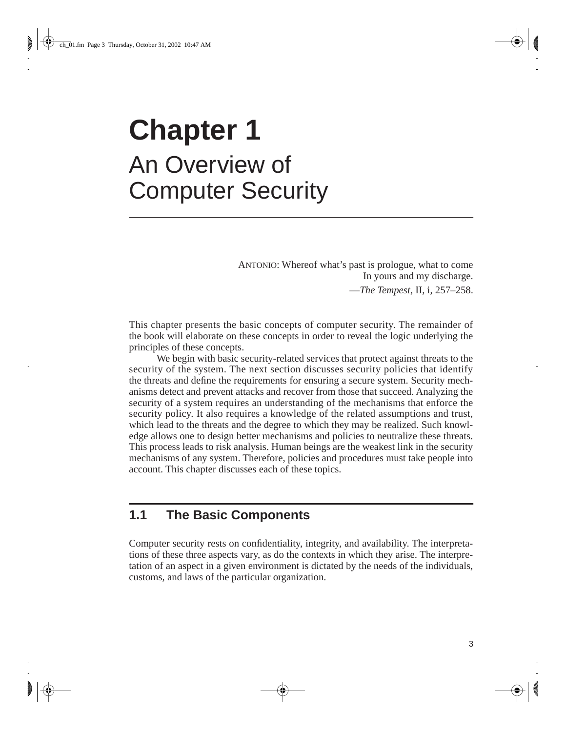ANTONIO: Whereof what's past is prologue, what to come In yours and my discharge. —*The Tempest*, II, i, 257–258.

This chapter presents the basic concepts of computer security. The remainder of the book will elaborate on these concepts in order to reveal the logic underlying the principles of these concepts.

We begin with basic security-related services that protect against threats to the security of the system. The next section discusses security policies that identify the threats and define the requirements for ensuring a secure system. Security mechanisms detect and prevent attacks and recover from those that succeed. Analyzing the security of a system requires an understanding of the mechanisms that enforce the security policy. It also requires a knowledge of the related assumptions and trust, which lead to the threats and the degree to which they may be realized. Such knowledge allows one to design better mechanisms and policies to neutralize these threats. This process leads to risk analysis. Human beings are the weakest link in the security mechanisms of any system. Therefore, policies and procedures must take people into account. This chapter discusses each of these topics.

# **1.1 The Basic Components**

Computer security rests on confidentiality, integrity, and availability. The interpretations of these three aspects vary, as do the contexts in which they arise. The interpretation of an aspect in a given environment is dictated by the needs of the individuals, customs, and laws of the particular organization.

3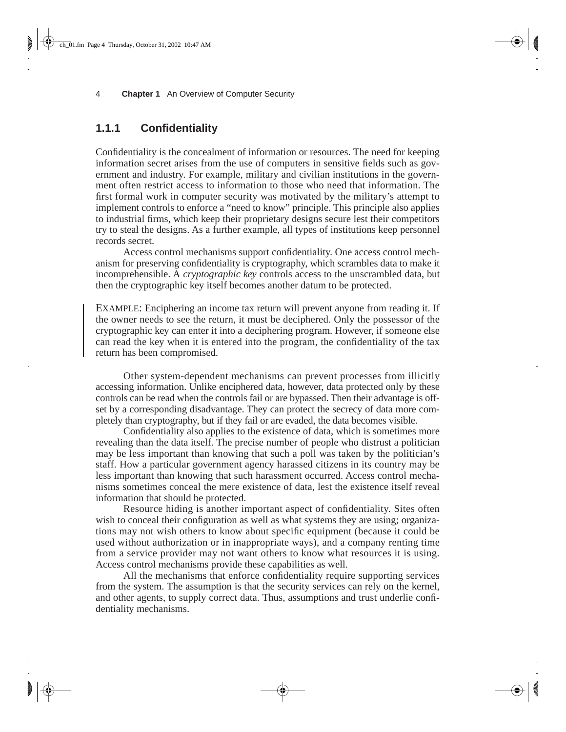### **1.1.1 Confidentiality**

 $\overline{\text{ch}}$ <sup>0</sup>1.fm Page 4 Thursday, October 31, 2002 10:47 AM

Confidentiality is the concealment of information or resources. The need for keeping information secret arises from the use of computers in sensitive fields such as government and industry. For example, military and civilian institutions in the government often restrict access to information to those who need that information. The first formal work in computer security was motivated by the military's attempt to implement controls to enforce a "need to know" principle. This principle also applies to industrial firms, which keep their proprietary designs secure lest their competitors try to steal the designs. As a further example, all types of institutions keep personnel records secret.

Access control mechanisms support confidentiality. One access control mechanism for preserving confidentiality is cryptography, which scrambles data to make it incomprehensible. A *cryptographic key* controls access to the unscrambled data, but then the cryptographic key itself becomes another datum to be protected.

EXAMPLE: Enciphering an income tax return will prevent anyone from reading it. If the owner needs to see the return, it must be deciphered. Only the possessor of the cryptographic key can enter it into a deciphering program. However, if someone else can read the key when it is entered into the program, the confidentiality of the tax return has been compromised.

Other system-dependent mechanisms can prevent processes from illicitly accessing information. Unlike enciphered data, however, data protected only by these controls can be read when the controls fail or are bypassed. Then their advantage is offset by a corresponding disadvantage. They can protect the secrecy of data more completely than cryptography, but if they fail or are evaded, the data becomes visible.

Confidentiality also applies to the existence of data, which is sometimes more revealing than the data itself. The precise number of people who distrust a politician may be less important than knowing that such a poll was taken by the politician's staff. How a particular government agency harassed citizens in its country may be less important than knowing that such harassment occurred. Access control mechanisms sometimes conceal the mere existence of data, lest the existence itself reveal information that should be protected.

Resource hiding is another important aspect of confidentiality. Sites often wish to conceal their configuration as well as what systems they are using; organizations may not wish others to know about specific equipment (because it could be used without authorization or in inappropriate ways), and a company renting time from a service provider may not want others to know what resources it is using. Access control mechanisms provide these capabilities as well.

All the mechanisms that enforce confidentiality require supporting services from the system. The assumption is that the security services can rely on the kernel, and other agents, to supply correct data. Thus, assumptions and trust underlie confidentiality mechanisms.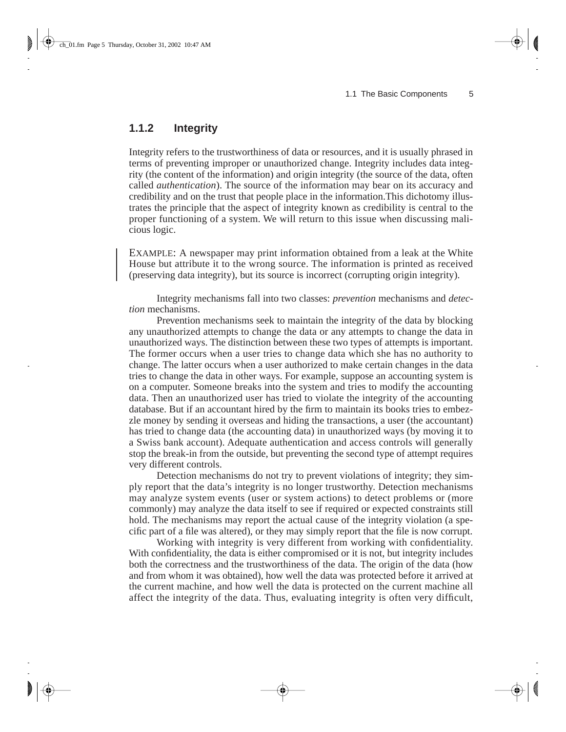## **1.1.2 Integrity**

Integrity refers to the trustworthiness of data or resources, and it is usually phrased in terms of preventing improper or unauthorized change. Integrity includes data integrity (the content of the information) and origin integrity (the source of the data, often called *authentication*). The source of the information may bear on its accuracy and credibility and on the trust that people place in the information.This dichotomy illustrates the principle that the aspect of integrity known as credibility is central to the proper functioning of a system. We will return to this issue when discussing malicious logic.

EXAMPLE: A newspaper may print information obtained from a leak at the White House but attribute it to the wrong source. The information is printed as received (preserving data integrity), but its source is incorrect (corrupting origin integrity).

Integrity mechanisms fall into two classes: *prevention* mechanisms and *detection* mechanisms.

Prevention mechanisms seek to maintain the integrity of the data by blocking any unauthorized attempts to change the data or any attempts to change the data in unauthorized ways. The distinction between these two types of attempts is important. The former occurs when a user tries to change data which she has no authority to change. The latter occurs when a user authorized to make certain changes in the data tries to change the data in other ways. For example, suppose an accounting system is on a computer. Someone breaks into the system and tries to modify the accounting data. Then an unauthorized user has tried to violate the integrity of the accounting database. But if an accountant hired by the firm to maintain its books tries to embezzle money by sending it overseas and hiding the transactions, a user (the accountant) has tried to change data (the accounting data) in unauthorized ways (by moving it to a Swiss bank account). Adequate authentication and access controls will generally stop the break-in from the outside, but preventing the second type of attempt requires very different controls.

Detection mechanisms do not try to prevent violations of integrity; they simply report that the data's integrity is no longer trustworthy. Detection mechanisms may analyze system events (user or system actions) to detect problems or (more commonly) may analyze the data itself to see if required or expected constraints still hold. The mechanisms may report the actual cause of the integrity violation (a specific part of a file was altered), or they may simply report that the file is now corrupt.

Working with integrity is very different from working with confidentiality. With confidentiality, the data is either compromised or it is not, but integrity includes both the correctness and the trustworthiness of the data. The origin of the data (how and from whom it was obtained), how well the data was protected before it arrived at the current machine, and how well the data is protected on the current machine all affect the integrity of the data. Thus, evaluating integrity is often very difficult,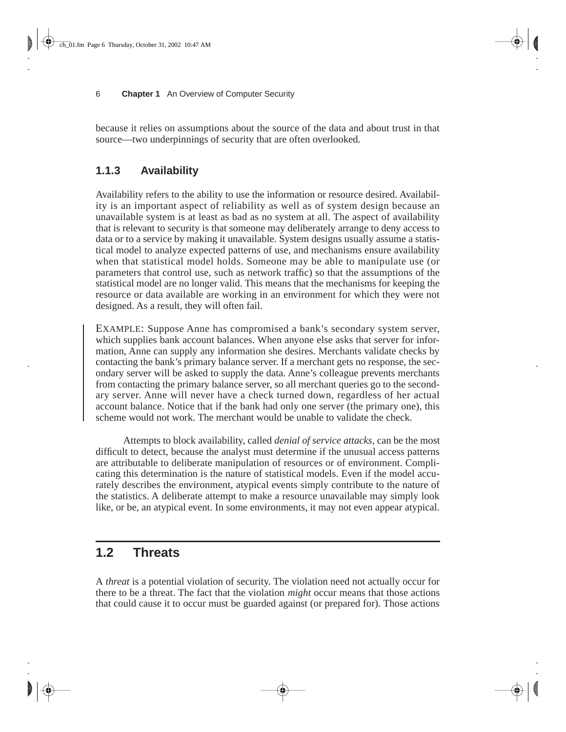because it relies on assumptions about the source of the data and about trust in that source—two underpinnings of security that are often overlooked.

## **1.1.3 Availability**

Availability refers to the ability to use the information or resource desired. Availability is an important aspect of reliability as well as of system design because an unavailable system is at least as bad as no system at all. The aspect of availability that is relevant to security is that someone may deliberately arrange to deny access to data or to a service by making it unavailable. System designs usually assume a statistical model to analyze expected patterns of use, and mechanisms ensure availability when that statistical model holds. Someone may be able to manipulate use (or parameters that control use, such as network traffic) so that the assumptions of the statistical model are no longer valid. This means that the mechanisms for keeping the resource or data available are working in an environment for which they were not designed. As a result, they will often fail.

EXAMPLE: Suppose Anne has compromised a bank's secondary system server, which supplies bank account balances. When anyone else asks that server for information, Anne can supply any information she desires. Merchants validate checks by contacting the bank's primary balance server. If a merchant gets no response, the secondary server will be asked to supply the data. Anne's colleague prevents merchants from contacting the primary balance server, so all merchant queries go to the secondary server. Anne will never have a check turned down, regardless of her actual account balance. Notice that if the bank had only one server (the primary one), this scheme would not work. The merchant would be unable to validate the check.

Attempts to block availability, called *denial of service attacks*, can be the most difficult to detect, because the analyst must determine if the unusual access patterns are attributable to deliberate manipulation of resources or of environment. Complicating this determination is the nature of statistical models. Even if the model accurately describes the environment, atypical events simply contribute to the nature of the statistics. A deliberate attempt to make a resource unavailable may simply look like, or be, an atypical event. In some environments, it may not even appear atypical.

# **1.2 Threats**

A *threat* is a potential violation of security. The violation need not actually occur for there to be a threat. The fact that the violation *might* occur means that those actions that could cause it to occur must be guarded against (or prepared for). Those actions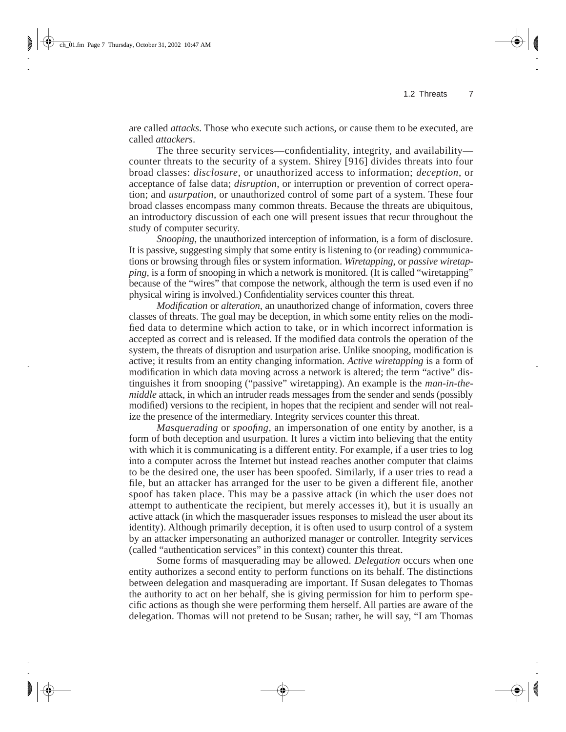1.2 Threats 7

are called *attacks*. Those who execute such actions, or cause them to be executed, are called *attackers*.

The three security services—confidentiality, integrity, and availability counter threats to the security of a system. Shirey [916] divides threats into four broad classes: *disclosure*, or unauthorized access to information; *deception*, or acceptance of false data; *disruption*, or interruption or prevention of correct operation; and *usurpation*, or unauthorized control of some part of a system. These four broad classes encompass many common threats. Because the threats are ubiquitous, an introductory discussion of each one will present issues that recur throughout the study of computer security.

*Snooping*, the unauthorized interception of information, is a form of disclosure. It is passive, suggesting simply that some entity is listening to (or reading) communications or browsing through files or system information. *Wiretapping*, or *passive wiretapping*, is a form of snooping in which a network is monitored. (It is called "wiretapping" because of the "wires" that compose the network, although the term is used even if no physical wiring is involved.) Confidentiality services counter this threat.

*Modification* or *alteration*, an unauthorized change of information, covers three classes of threats. The goal may be deception, in which some entity relies on the modified data to determine which action to take, or in which incorrect information is accepted as correct and is released. If the modified data controls the operation of the system, the threats of disruption and usurpation arise. Unlike snooping, modification is active; it results from an entity changing information. *Active wiretapping* is a form of modification in which data moving across a network is altered; the term "active" distinguishes it from snooping ("passive" wiretapping). An example is the *man-in-themiddle* attack, in which an intruder reads messages from the sender and sends (possibly modified) versions to the recipient, in hopes that the recipient and sender will not realize the presence of the intermediary. Integrity services counter this threat.

*Masquerading* or *spoofing*, an impersonation of one entity by another, is a form of both deception and usurpation. It lures a victim into believing that the entity with which it is communicating is a different entity. For example, if a user tries to log into a computer across the Internet but instead reaches another computer that claims to be the desired one, the user has been spoofed. Similarly, if a user tries to read a file, but an attacker has arranged for the user to be given a different file, another spoof has taken place. This may be a passive attack (in which the user does not attempt to authenticate the recipient, but merely accesses it), but it is usually an active attack (in which the masquerader issues responses to mislead the user about its identity). Although primarily deception, it is often used to usurp control of a system by an attacker impersonating an authorized manager or controller. Integrity services (called "authentication services" in this context) counter this threat.

Some forms of masquerading may be allowed. *Delegation* occurs when one entity authorizes a second entity to perform functions on its behalf. The distinctions between delegation and masquerading are important. If Susan delegates to Thomas the authority to act on her behalf, she is giving permission for him to perform specific actions as though she were performing them herself. All parties are aware of the delegation. Thomas will not pretend to be Susan; rather, he will say, "I am Thomas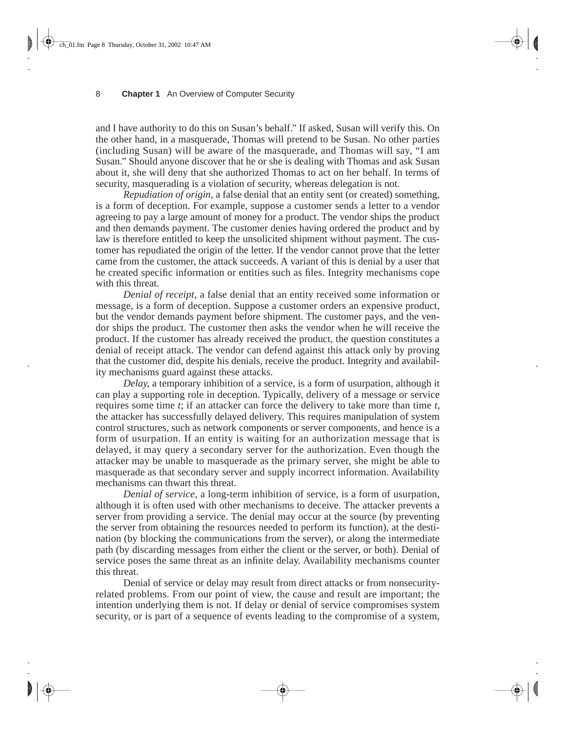$\overline{\text{ch}}$ <sup>01.fm</sup> Page 8 Thursday, October 31, 2002 10:47 AM

and I have authority to do this on Susan's behalf." If asked, Susan will verify this. On the other hand, in a masquerade, Thomas will pretend to be Susan. No other parties (including Susan) will be aware of the masquerade, and Thomas will say, "I am Susan." Should anyone discover that he or she is dealing with Thomas and ask Susan about it, she will deny that she authorized Thomas to act on her behalf. In terms of security, masquerading is a violation of security, whereas delegation is not.

*Repudiation of origin*, a false denial that an entity sent (or created) something, is a form of deception. For example, suppose a customer sends a letter to a vendor agreeing to pay a large amount of money for a product. The vendor ships the product and then demands payment. The customer denies having ordered the product and by law is therefore entitled to keep the unsolicited shipment without payment. The customer has repudiated the origin of the letter. If the vendor cannot prove that the letter came from the customer, the attack succeeds. A variant of this is denial by a user that he created specific information or entities such as files. Integrity mechanisms cope with this threat.

*Denial of receipt*, a false denial that an entity received some information or message, is a form of deception. Suppose a customer orders an expensive product, but the vendor demands payment before shipment. The customer pays, and the vendor ships the product. The customer then asks the vendor when he will receive the product. If the customer has already received the product, the question constitutes a denial of receipt attack. The vendor can defend against this attack only by proving that the customer did, despite his denials, receive the product. Integrity and availability mechanisms guard against these attacks.

*Delay*, a temporary inhibition of a service, is a form of usurpation, although it can play a supporting role in deception. Typically, delivery of a message or service requires some time *t*; if an attacker can force the delivery to take more than time *t*, the attacker has successfully delayed delivery. This requires manipulation of system control structures, such as network components or server components, and hence is a form of usurpation. If an entity is waiting for an authorization message that is delayed, it may query a secondary server for the authorization. Even though the attacker may be unable to masquerade as the primary server, she might be able to masquerade as that secondary server and supply incorrect information. Availability mechanisms can thwart this threat.

*Denial of service*, a long-term inhibition of service, is a form of usurpation, although it is often used with other mechanisms to deceive. The attacker prevents a server from providing a service. The denial may occur at the source (by preventing the server from obtaining the resources needed to perform its function), at the destination (by blocking the communications from the server), or along the intermediate path (by discarding messages from either the client or the server, or both). Denial of service poses the same threat as an infinite delay. Availability mechanisms counter this threat.

Denial of service or delay may result from direct attacks or from nonsecurityrelated problems. From our point of view, the cause and result are important; the intention underlying them is not. If delay or denial of service compromises system security, or is part of a sequence of events leading to the compromise of a system,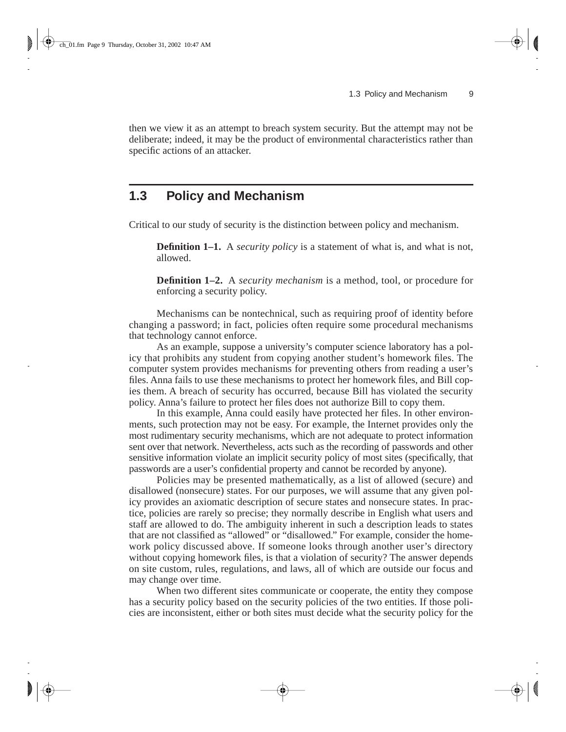then we view it as an attempt to breach system security. But the attempt may not be deliberate; indeed, it may be the product of environmental characteristics rather than specific actions of an attacker.

# **1.3 Policy and Mechanism**

Critical to our study of security is the distinction between policy and mechanism.

**Definition 1–1.** A *security policy* is a statement of what is, and what is not, allowed.

**Definition 1–2.** A *security mechanism* is a method, tool, or procedure for enforcing a security policy.

Mechanisms can be nontechnical, such as requiring proof of identity before changing a password; in fact, policies often require some procedural mechanisms that technology cannot enforce.

As an example, suppose a university's computer science laboratory has a policy that prohibits any student from copying another student's homework files. The computer system provides mechanisms for preventing others from reading a user's files. Anna fails to use these mechanisms to protect her homework files, and Bill copies them. A breach of security has occurred, because Bill has violated the security policy. Anna's failure to protect her files does not authorize Bill to copy them.

In this example, Anna could easily have protected her files. In other environments, such protection may not be easy. For example, the Internet provides only the most rudimentary security mechanisms, which are not adequate to protect information sent over that network. Nevertheless, acts such as the recording of passwords and other sensitive information violate an implicit security policy of most sites (specifically, that passwords are a user's confidential property and cannot be recorded by anyone).

Policies may be presented mathematically, as a list of allowed (secure) and disallowed (nonsecure) states. For our purposes, we will assume that any given policy provides an axiomatic description of secure states and nonsecure states. In practice, policies are rarely so precise; they normally describe in English what users and staff are allowed to do. The ambiguity inherent in such a description leads to states that are not classified as "allowed" or "disallowed." For example, consider the homework policy discussed above. If someone looks through another user's directory without copying homework files, is that a violation of security? The answer depends on site custom, rules, regulations, and laws, all of which are outside our focus and may change over time.

When two different sites communicate or cooperate, the entity they compose has a security policy based on the security policies of the two entities. If those policies are inconsistent, either or both sites must decide what the security policy for the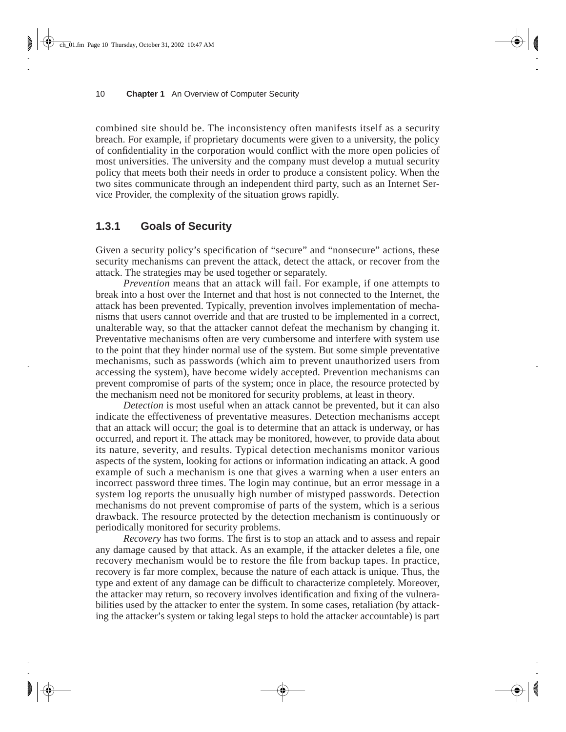combined site should be. The inconsistency often manifests itself as a security breach. For example, if proprietary documents were given to a university, the policy of confidentiality in the corporation would conflict with the more open policies of most universities. The university and the company must develop a mutual security policy that meets both their needs in order to produce a consistent policy. When the two sites communicate through an independent third party, such as an Internet Service Provider, the complexity of the situation grows rapidly.

### **1.3.1 Goals of Security**

Given a security policy's specification of "secure" and "nonsecure" actions, these security mechanisms can prevent the attack, detect the attack, or recover from the attack. The strategies may be used together or separately.

*Prevention* means that an attack will fail. For example, if one attempts to break into a host over the Internet and that host is not connected to the Internet, the attack has been prevented. Typically, prevention involves implementation of mechanisms that users cannot override and that are trusted to be implemented in a correct, unalterable way, so that the attacker cannot defeat the mechanism by changing it. Preventative mechanisms often are very cumbersome and interfere with system use to the point that they hinder normal use of the system. But some simple preventative mechanisms, such as passwords (which aim to prevent unauthorized users from accessing the system), have become widely accepted. Prevention mechanisms can prevent compromise of parts of the system; once in place, the resource protected by the mechanism need not be monitored for security problems, at least in theory.

*Detection* is most useful when an attack cannot be prevented, but it can also indicate the effectiveness of preventative measures. Detection mechanisms accept that an attack will occur; the goal is to determine that an attack is underway, or has occurred, and report it. The attack may be monitored, however, to provide data about its nature, severity, and results. Typical detection mechanisms monitor various aspects of the system, looking for actions or information indicating an attack. A good example of such a mechanism is one that gives a warning when a user enters an incorrect password three times. The login may continue, but an error message in a system log reports the unusually high number of mistyped passwords. Detection mechanisms do not prevent compromise of parts of the system, which is a serious drawback. The resource protected by the detection mechanism is continuously or periodically monitored for security problems.

*Recovery* has two forms. The first is to stop an attack and to assess and repair any damage caused by that attack. As an example, if the attacker deletes a file, one recovery mechanism would be to restore the file from backup tapes. In practice, recovery is far more complex, because the nature of each attack is unique. Thus, the type and extent of any damage can be difficult to characterize completely. Moreover, the attacker may return, so recovery involves identification and fixing of the vulnerabilities used by the attacker to enter the system. In some cases, retaliation (by attacking the attacker's system or taking legal steps to hold the attacker accountable) is part

ch\_01.fm Page 10 Thursday, October 31, 2002 10:47 AM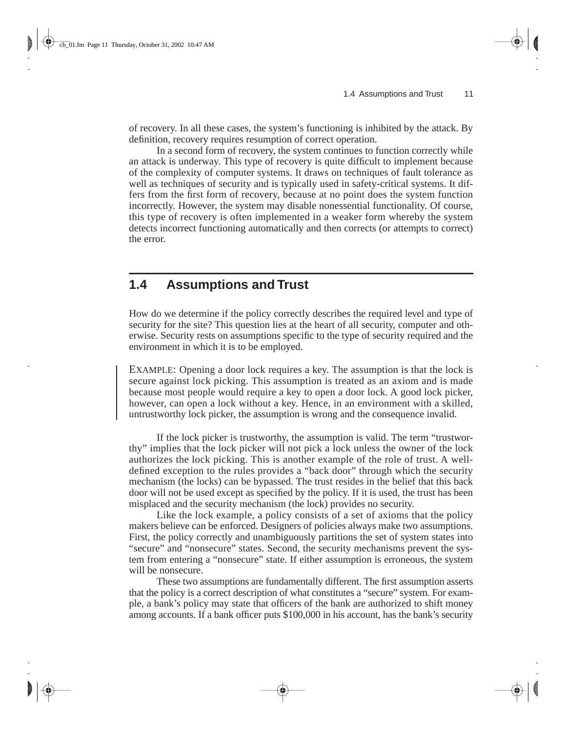1.4 Assumptions and Trust 11

of recovery. In all these cases, the system's functioning is inhibited by the attack. By definition, recovery requires resumption of correct operation.

In a second form of recovery, the system continues to function correctly while an attack is underway. This type of recovery is quite difficult to implement because of the complexity of computer systems. It draws on techniques of fault tolerance as well as techniques of security and is typically used in safety-critical systems. It differs from the first form of recovery, because at no point does the system function incorrectly. However, the system may disable nonessential functionality. Of course, this type of recovery is often implemented in a weaker form whereby the system detects incorrect functioning automatically and then corrects (or attempts to correct) the error.

# **1.4 Assumptions and Trust**

How do we determine if the policy correctly describes the required level and type of security for the site? This question lies at the heart of all security, computer and otherwise. Security rests on assumptions specific to the type of security required and the environment in which it is to be employed.

EXAMPLE: Opening a door lock requires a key. The assumption is that the lock is secure against lock picking. This assumption is treated as an axiom and is made because most people would require a key to open a door lock. A good lock picker, however, can open a lock without a key. Hence, in an environment with a skilled, untrustworthy lock picker, the assumption is wrong and the consequence invalid.

If the lock picker is trustworthy, the assumption is valid. The term "trustworthy" implies that the lock picker will not pick a lock unless the owner of the lock authorizes the lock picking. This is another example of the role of trust. A welldefined exception to the rules provides a "back door" through which the security mechanism (the locks) can be bypassed. The trust resides in the belief that this back door will not be used except as specified by the policy. If it is used, the trust has been misplaced and the security mechanism (the lock) provides no security.

Like the lock example, a policy consists of a set of axioms that the policy makers believe can be enforced. Designers of policies always make two assumptions. First, the policy correctly and unambiguously partitions the set of system states into "secure" and "nonsecure" states. Second, the security mechanisms prevent the system from entering a "nonsecure" state. If either assumption is erroneous, the system will be nonsecure.

These two assumptions are fundamentally different. The first assumption asserts that the policy is a correct description of what constitutes a "secure" system. For example, a bank's policy may state that officers of the bank are authorized to shift money among accounts. If a bank officer puts \$100,000 in his account, has the bank's security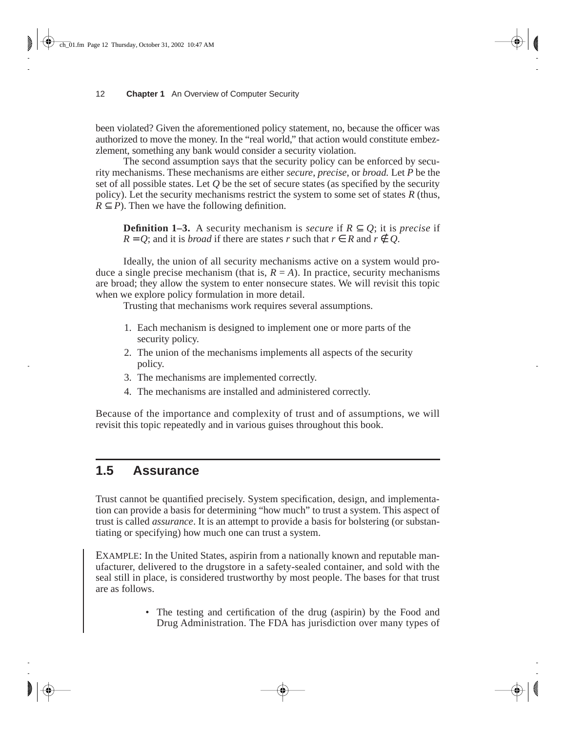been violated? Given the aforementioned policy statement, no, because the officer was authorized to move the money. In the "real world," that action would constitute embezzlement, something any bank would consider a security violation.

The second assumption says that the security policy can be enforced by security mechanisms. These mechanisms are either *secure*, *precise*, or *broad.* Let *P* be the set of all possible states. Let *Q* be the set of secure states (as specified by the security policy). Let the security mechanisms restrict the system to some set of states *R* (thus,  $R \subseteq P$ ). Then we have the following definition.

**Definition 1–3.** A security mechanism is *secure* if  $R \subseteq Q$ ; it is *precise* if *R* = *Q*; and it is *broad* if there are states *r* such that  $r \in R$  and  $r \notin Q$ .

Ideally, the union of all security mechanisms active on a system would produce a single precise mechanism (that is,  $R = A$ ). In practice, security mechanisms are broad; they allow the system to enter nonsecure states. We will revisit this topic when we explore policy formulation in more detail.

Trusting that mechanisms work requires several assumptions.

- 1. Each mechanism is designed to implement one or more parts of the security policy.
- 2. The union of the mechanisms implements all aspects of the security policy.
- 3. The mechanisms are implemented correctly.
- 4. The mechanisms are installed and administered correctly.

Because of the importance and complexity of trust and of assumptions, we will revisit this topic repeatedly and in various guises throughout this book.

# **1.5 Assurance**

Trust cannot be quantified precisely. System specification, design, and implementation can provide a basis for determining "how much" to trust a system. This aspect of trust is called *assurance*. It is an attempt to provide a basis for bolstering (or substantiating or specifying) how much one can trust a system.

EXAMPLE: In the United States, aspirin from a nationally known and reputable manufacturer, delivered to the drugstore in a safety-sealed container, and sold with the seal still in place, is considered trustworthy by most people. The bases for that trust are as follows.

> • The testing and certification of the drug (aspirin) by the Food and Drug Administration. The FDA has jurisdiction over many types of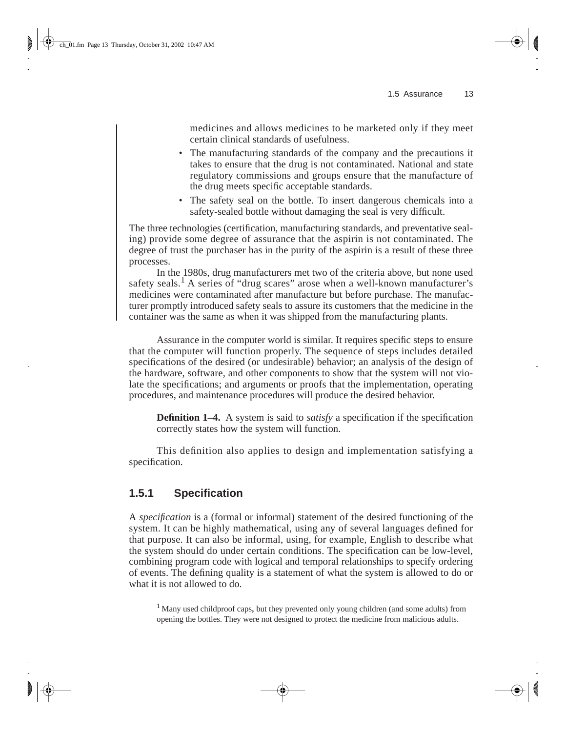1.5 Assurance 13

medicines and allows medicines to be marketed only if they meet certain clinical standards of usefulness.

- The manufacturing standards of the company and the precautions it takes to ensure that the drug is not contaminated. National and state regulatory commissions and groups ensure that the manufacture of the drug meets specific acceptable standards.
- The safety seal on the bottle. To insert dangerous chemicals into a safety-sealed bottle without damaging the seal is very difficult.

The three technologies (certification, manufacturing standards, and preventative sealing) provide some degree of assurance that the aspirin is not contaminated. The degree of trust the purchaser has in the purity of the aspirin is a result of these three processes.

In the 1980s, drug manufacturers met two of the criteria above, but none used safety seals.<sup>1</sup> A series of "drug scares" arose when a well-known manufacturer's medicines were contaminated after manufacture but before purchase. The manufacturer promptly introduced safety seals to assure its customers that the medicine in the container was the same as when it was shipped from the manufacturing plants.

Assurance in the computer world is similar. It requires specific steps to ensure that the computer will function properly. The sequence of steps includes detailed specifications of the desired (or undesirable) behavior; an analysis of the design of the hardware, software, and other components to show that the system will not violate the specifications; and arguments or proofs that the implementation, operating procedures, and maintenance procedures will produce the desired behavior.

**Definition 1–4.** A system is said to *satisfy* a specification if the specification correctly states how the system will function.

This definition also applies to design and implementation satisfying a specification.

### **1.5.1 Specification**

A *specification* is a (formal or informal) statement of the desired functioning of the system. It can be highly mathematical, using any of several languages defined for that purpose. It can also be informal, using, for example, English to describe what the system should do under certain conditions. The specification can be low-level, combining program code with logical and temporal relationships to specify ordering of events. The defining quality is a statement of what the system is allowed to do or what it is not allowed to do.

<sup>&</sup>lt;sup>1</sup> Many used childproof caps, but they prevented only young children (and some adults) from opening the bottles. They were not designed to protect the medicine from malicious adults.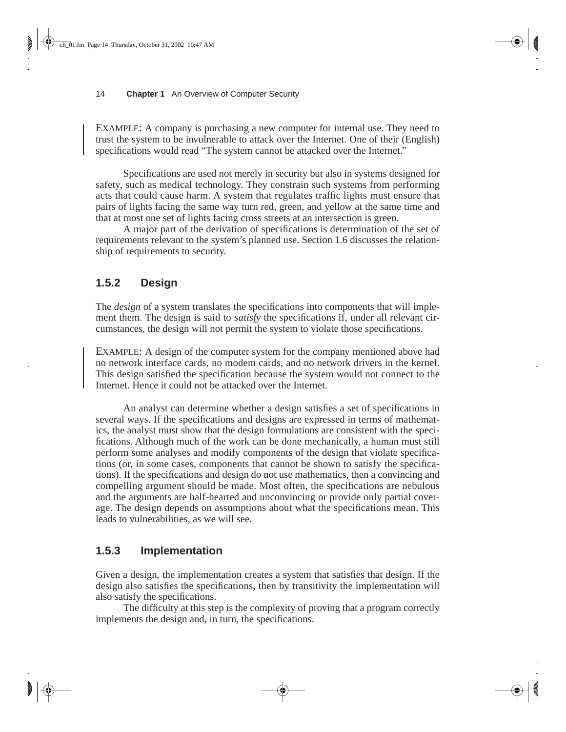EXAMPLE: A company is purchasing a new computer for internal use. They need to trust the system to be invulnerable to attack over the Internet. One of their (English) specifications would read "The system cannot be attacked over the Internet."

Specifications are used not merely in security but also in systems designed for safety, such as medical technology. They constrain such systems from performing acts that could cause harm. A system that regulates traffic lights must ensure that pairs of lights facing the same way turn red, green, and yellow at the same time and that at most one set of lights facing cross streets at an intersection is green.

A major part of the derivation of specifications is determination of the set of requirements relevant to the system's planned use. Section 1.6 discusses the relationship of requirements to security.

### **1.5.2 Design**

The *design* of a system translates the specifications into components that will implement them. The design is said to *satisfy* the specifications if, under all relevant circumstances, the design will not permit the system to violate those specifications.

EXAMPLE: A design of the computer system for the company mentioned above had no network interface cards, no modem cards, and no network drivers in the kernel. This design satisfied the specification because the system would not connect to the Internet. Hence it could not be attacked over the Internet.

An analyst can determine whether a design satisfies a set of specifications in several ways. If the specifications and designs are expressed in terms of mathematics, the analyst must show that the design formulations are consistent with the specifications. Although much of the work can be done mechanically, a human must still perform some analyses and modify components of the design that violate specifications (or, in some cases, components that cannot be shown to satisfy the specifications). If the specifications and design do not use mathematics, then a convincing and compelling argument should be made. Most often, the specifications are nebulous and the arguments are half-hearted and unconvincing or provide only partial coverage. The design depends on assumptions about what the specifications mean. This leads to vulnerabilities, as we will see.

### **1.5.3 Implementation**

Given a design, the implementation creates a system that satisfies that design. If the design also satisfies the specifications, then by transitivity the implementation will also satisfy the specifications.

The difficulty at this step is the complexity of proving that a program correctly implements the design and, in turn, the specifications.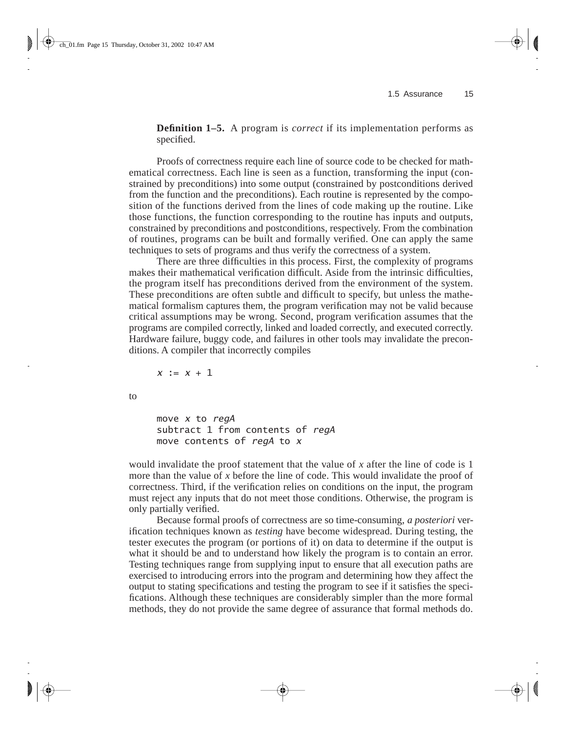1.5 Assurance 15

**Definition 1–5.** A program is *correct* if its implementation performs as specified.

Proofs of correctness require each line of source code to be checked for mathematical correctness. Each line is seen as a function, transforming the input (constrained by preconditions) into some output (constrained by postconditions derived from the function and the preconditions). Each routine is represented by the composition of the functions derived from the lines of code making up the routine. Like those functions, the function corresponding to the routine has inputs and outputs, constrained by preconditions and postconditions, respectively. From the combination of routines, programs can be built and formally verified. One can apply the same techniques to sets of programs and thus verify the correctness of a system.

There are three difficulties in this process. First, the complexity of programs makes their mathematical verification difficult. Aside from the intrinsic difficulties, the program itself has preconditions derived from the environment of the system. These preconditions are often subtle and difficult to specify, but unless the mathematical formalism captures them, the program verification may not be valid because critical assumptions may be wrong. Second, program verification assumes that the programs are compiled correctly, linked and loaded correctly, and executed correctly. Hardware failure, buggy code, and failures in other tools may invalidate the preconditions. A compiler that incorrectly compiles

 $x := x + 1$ 

to

move  $x$  to regA subtract 1 from contents of regA move contents of regA to x

would invalidate the proof statement that the value of *x* after the line of code is 1 more than the value of *x* before the line of code. This would invalidate the proof of correctness. Third, if the verification relies on conditions on the input, the program must reject any inputs that do not meet those conditions. Otherwise, the program is only partially verified.

Because formal proofs of correctness are so time-consuming, *a posteriori* verification techniques known as *testing* have become widespread. During testing, the tester executes the program (or portions of it) on data to determine if the output is what it should be and to understand how likely the program is to contain an error. Testing techniques range from supplying input to ensure that all execution paths are exercised to introducing errors into the program and determining how they affect the output to stating specifications and testing the program to see if it satisfies the specifications. Although these techniques are considerably simpler than the more formal methods, they do not provide the same degree of assurance that formal methods do.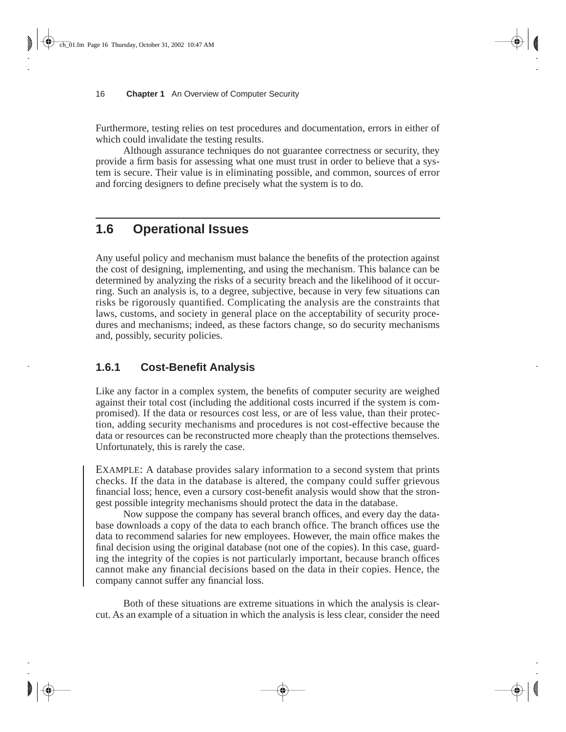Furthermore, testing relies on test procedures and documentation, errors in either of which could invalidate the testing results.

Although assurance techniques do not guarantee correctness or security, they provide a firm basis for assessing what one must trust in order to believe that a system is secure. Their value is in eliminating possible, and common, sources of error and forcing designers to define precisely what the system is to do.

# **1.6 Operational Issues**

Any useful policy and mechanism must balance the benefits of the protection against the cost of designing, implementing, and using the mechanism. This balance can be determined by analyzing the risks of a security breach and the likelihood of it occurring. Such an analysis is, to a degree, subjective, because in very few situations can risks be rigorously quantified. Complicating the analysis are the constraints that laws, customs, and society in general place on the acceptability of security procedures and mechanisms; indeed, as these factors change, so do security mechanisms and, possibly, security policies.

## **1.6.1 Cost-Benefit Analysis**

Like any factor in a complex system, the benefits of computer security are weighed against their total cost (including the additional costs incurred if the system is compromised). If the data or resources cost less, or are of less value, than their protection, adding security mechanisms and procedures is not cost-effective because the data or resources can be reconstructed more cheaply than the protections themselves. Unfortunately, this is rarely the case.

EXAMPLE: A database provides salary information to a second system that prints checks. If the data in the database is altered, the company could suffer grievous financial loss; hence, even a cursory cost-benefit analysis would show that the strongest possible integrity mechanisms should protect the data in the database.

Now suppose the company has several branch offices, and every day the database downloads a copy of the data to each branch office. The branch offices use the data to recommend salaries for new employees. However, the main office makes the final decision using the original database (not one of the copies). In this case, guarding the integrity of the copies is not particularly important, because branch offices cannot make any financial decisions based on the data in their copies. Hence, the company cannot suffer any financial loss.

Both of these situations are extreme situations in which the analysis is clearcut. As an example of a situation in which the analysis is less clear, consider the need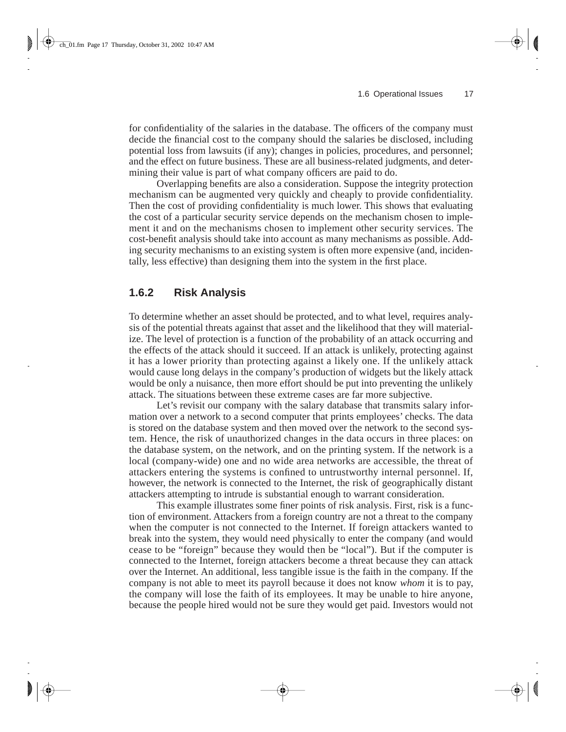1.6 Operational Issues 17

for confidentiality of the salaries in the database. The officers of the company must decide the financial cost to the company should the salaries be disclosed, including potential loss from lawsuits (if any); changes in policies, procedures, and personnel; and the effect on future business. These are all business-related judgments, and determining their value is part of what company officers are paid to do.

Overlapping benefits are also a consideration. Suppose the integrity protection mechanism can be augmented very quickly and cheaply to provide confidentiality. Then the cost of providing confidentiality is much lower. This shows that evaluating the cost of a particular security service depends on the mechanism chosen to implement it and on the mechanisms chosen to implement other security services. The cost-benefit analysis should take into account as many mechanisms as possible. Adding security mechanisms to an existing system is often more expensive (and, incidentally, less effective) than designing them into the system in the first place.

### **1.6.2 Risk Analysis**

To determine whether an asset should be protected, and to what level, requires analysis of the potential threats against that asset and the likelihood that they will materialize. The level of protection is a function of the probability of an attack occurring and the effects of the attack should it succeed. If an attack is unlikely, protecting against it has a lower priority than protecting against a likely one. If the unlikely attack would cause long delays in the company's production of widgets but the likely attack would be only a nuisance, then more effort should be put into preventing the unlikely attack. The situations between these extreme cases are far more subjective.

Let's revisit our company with the salary database that transmits salary information over a network to a second computer that prints employees' checks. The data is stored on the database system and then moved over the network to the second system. Hence, the risk of unauthorized changes in the data occurs in three places: on the database system, on the network, and on the printing system. If the network is a local (company-wide) one and no wide area networks are accessible, the threat of attackers entering the systems is confined to untrustworthy internal personnel. If, however, the network is connected to the Internet, the risk of geographically distant attackers attempting to intrude is substantial enough to warrant consideration.

This example illustrates some finer points of risk analysis. First, risk is a function of environment. Attackers from a foreign country are not a threat to the company when the computer is not connected to the Internet. If foreign attackers wanted to break into the system, they would need physically to enter the company (and would cease to be "foreign" because they would then be "local"). But if the computer is connected to the Internet, foreign attackers become a threat because they can attack over the Internet. An additional, less tangible issue is the faith in the company. If the company is not able to meet its payroll because it does not know *whom* it is to pay, the company will lose the faith of its employees. It may be unable to hire anyone, because the people hired would not be sure they would get paid. Investors would not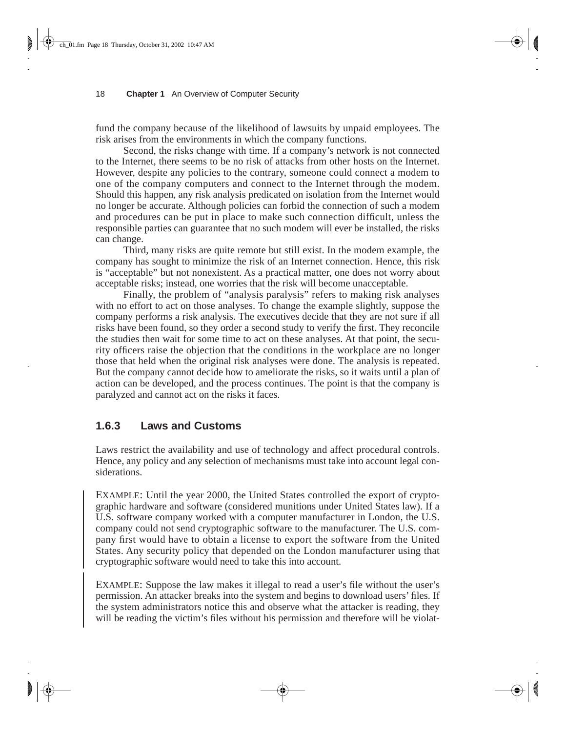$\overline{\text{ch}}$ <sup>01.fm</sup> Page 18 Thursday, October 31, 2002 10:47 AM

fund the company because of the likelihood of lawsuits by unpaid employees. The risk arises from the environments in which the company functions.

Second, the risks change with time. If a company's network is not connected to the Internet, there seems to be no risk of attacks from other hosts on the Internet. However, despite any policies to the contrary, someone could connect a modem to one of the company computers and connect to the Internet through the modem. Should this happen, any risk analysis predicated on isolation from the Internet would no longer be accurate. Although policies can forbid the connection of such a modem and procedures can be put in place to make such connection difficult, unless the responsible parties can guarantee that no such modem will ever be installed, the risks can change.

Third, many risks are quite remote but still exist. In the modem example, the company has sought to minimize the risk of an Internet connection. Hence, this risk is "acceptable" but not nonexistent. As a practical matter, one does not worry about acceptable risks; instead, one worries that the risk will become unacceptable.

Finally, the problem of "analysis paralysis" refers to making risk analyses with no effort to act on those analyses. To change the example slightly, suppose the company performs a risk analysis. The executives decide that they are not sure if all risks have been found, so they order a second study to verify the first. They reconcile the studies then wait for some time to act on these analyses. At that point, the security officers raise the objection that the conditions in the workplace are no longer those that held when the original risk analyses were done. The analysis is repeated. But the company cannot decide how to ameliorate the risks, so it waits until a plan of action can be developed, and the process continues. The point is that the company is paralyzed and cannot act on the risks it faces.

### **1.6.3 Laws and Customs**

Laws restrict the availability and use of technology and affect procedural controls. Hence, any policy and any selection of mechanisms must take into account legal considerations.

EXAMPLE: Until the year 2000, the United States controlled the export of cryptographic hardware and software (considered munitions under United States law). If a U.S. software company worked with a computer manufacturer in London, the U.S. company could not send cryptographic software to the manufacturer. The U.S. company first would have to obtain a license to export the software from the United States. Any security policy that depended on the London manufacturer using that cryptographic software would need to take this into account.

EXAMPLE: Suppose the law makes it illegal to read a user's file without the user's permission. An attacker breaks into the system and begins to download users' files. If the system administrators notice this and observe what the attacker is reading, they will be reading the victim's files without his permission and therefore will be violat-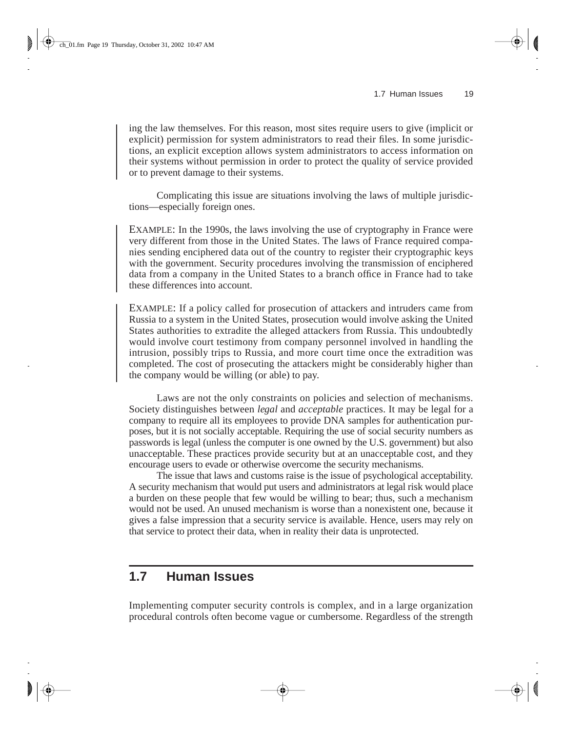1.7 Human Issues 19

ing the law themselves. For this reason, most sites require users to give (implicit or explicit) permission for system administrators to read their files. In some jurisdictions, an explicit exception allows system administrators to access information on their systems without permission in order to protect the quality of service provided or to prevent damage to their systems.

Complicating this issue are situations involving the laws of multiple jurisdictions—especially foreign ones.

EXAMPLE: In the 1990s, the laws involving the use of cryptography in France were very different from those in the United States. The laws of France required companies sending enciphered data out of the country to register their cryptographic keys with the government. Security procedures involving the transmission of enciphered data from a company in the United States to a branch office in France had to take these differences into account.

EXAMPLE: If a policy called for prosecution of attackers and intruders came from Russia to a system in the United States, prosecution would involve asking the United States authorities to extradite the alleged attackers from Russia. This undoubtedly would involve court testimony from company personnel involved in handling the intrusion, possibly trips to Russia, and more court time once the extradition was completed. The cost of prosecuting the attackers might be considerably higher than the company would be willing (or able) to pay.

Laws are not the only constraints on policies and selection of mechanisms. Society distinguishes between *legal* and *acceptable* practices. It may be legal for a company to require all its employees to provide DNA samples for authentication purposes, but it is not socially acceptable. Requiring the use of social security numbers as passwords is legal (unless the computer is one owned by the U.S. government) but also unacceptable. These practices provide security but at an unacceptable cost, and they encourage users to evade or otherwise overcome the security mechanisms.

The issue that laws and customs raise is the issue of psychological acceptability. A security mechanism that would put users and administrators at legal risk would place a burden on these people that few would be willing to bear; thus, such a mechanism would not be used. An unused mechanism is worse than a nonexistent one, because it gives a false impression that a security service is available. Hence, users may rely on that service to protect their data, when in reality their data is unprotected.

# **1.7 Human Issues**

Implementing computer security controls is complex, and in a large organization procedural controls often become vague or cumbersome. Regardless of the strength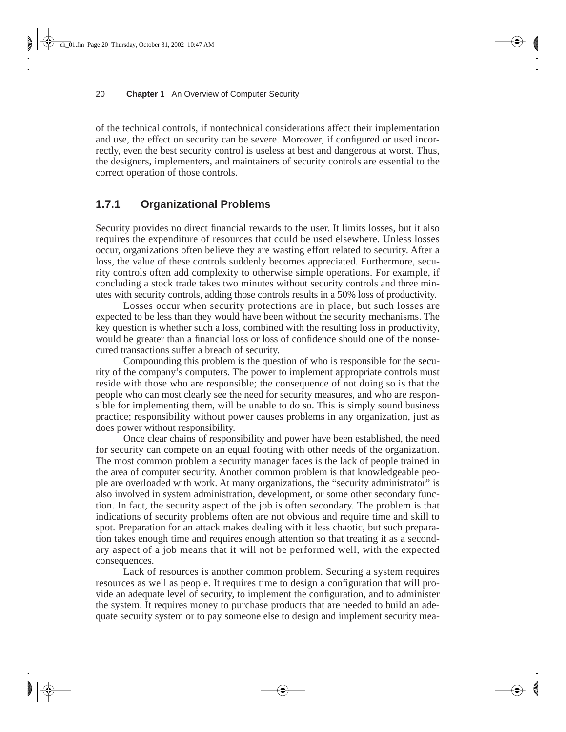of the technical controls, if nontechnical considerations affect their implementation and use, the effect on security can be severe. Moreover, if configured or used incorrectly, even the best security control is useless at best and dangerous at worst. Thus, the designers, implementers, and maintainers of security controls are essential to the correct operation of those controls.

### **1.7.1 Organizational Problems**

Security provides no direct financial rewards to the user. It limits losses, but it also requires the expenditure of resources that could be used elsewhere. Unless losses occur, organizations often believe they are wasting effort related to security. After a loss, the value of these controls suddenly becomes appreciated. Furthermore, security controls often add complexity to otherwise simple operations. For example, if concluding a stock trade takes two minutes without security controls and three minutes with security controls, adding those controls results in a 50% loss of productivity.

Losses occur when security protections are in place, but such losses are expected to be less than they would have been without the security mechanisms. The key question is whether such a loss, combined with the resulting loss in productivity, would be greater than a financial loss or loss of confidence should one of the nonsecured transactions suffer a breach of security.

Compounding this problem is the question of who is responsible for the security of the company's computers. The power to implement appropriate controls must reside with those who are responsible; the consequence of not doing so is that the people who can most clearly see the need for security measures, and who are responsible for implementing them, will be unable to do so. This is simply sound business practice; responsibility without power causes problems in any organization, just as does power without responsibility.

Once clear chains of responsibility and power have been established, the need for security can compete on an equal footing with other needs of the organization. The most common problem a security manager faces is the lack of people trained in the area of computer security. Another common problem is that knowledgeable people are overloaded with work. At many organizations, the "security administrator" is also involved in system administration, development, or some other secondary function. In fact, the security aspect of the job is often secondary. The problem is that indications of security problems often are not obvious and require time and skill to spot. Preparation for an attack makes dealing with it less chaotic, but such preparation takes enough time and requires enough attention so that treating it as a secondary aspect of a job means that it will not be performed well, with the expected consequences.

Lack of resources is another common problem. Securing a system requires resources as well as people. It requires time to design a configuration that will provide an adequate level of security, to implement the configuration, and to administer the system. It requires money to purchase products that are needed to build an adequate security system or to pay someone else to design and implement security mea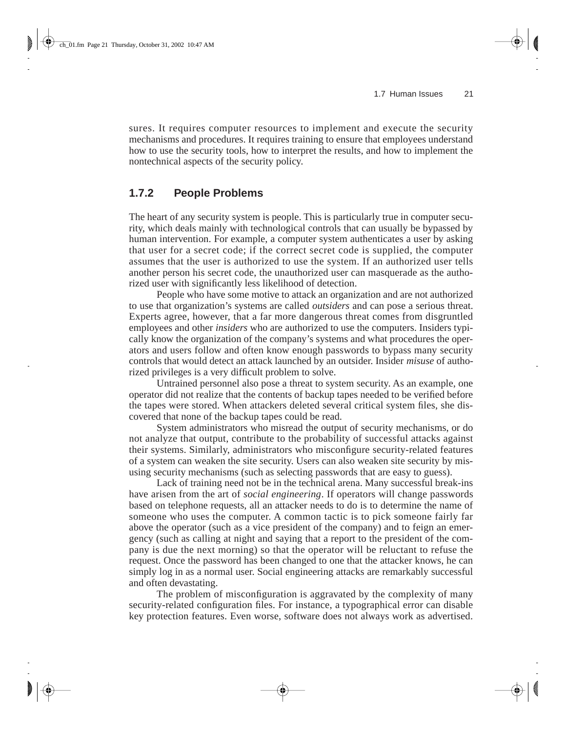sures. It requires computer resources to implement and execute the security mechanisms and procedures. It requires training to ensure that employees understand how to use the security tools, how to interpret the results, and how to implement the nontechnical aspects of the security policy.

### **1.7.2 People Problems**

The heart of any security system is people. This is particularly true in computer security, which deals mainly with technological controls that can usually be bypassed by human intervention. For example, a computer system authenticates a user by asking that user for a secret code; if the correct secret code is supplied, the computer assumes that the user is authorized to use the system. If an authorized user tells another person his secret code, the unauthorized user can masquerade as the authorized user with significantly less likelihood of detection.

People who have some motive to attack an organization and are not authorized to use that organization's systems are called *outsiders* and can pose a serious threat. Experts agree, however, that a far more dangerous threat comes from disgruntled employees and other *insiders* who are authorized to use the computers. Insiders typically know the organization of the company's systems and what procedures the operators and users follow and often know enough passwords to bypass many security controls that would detect an attack launched by an outsider. Insider *misuse* of authorized privileges is a very difficult problem to solve.

Untrained personnel also pose a threat to system security. As an example, one operator did not realize that the contents of backup tapes needed to be verified before the tapes were stored. When attackers deleted several critical system files, she discovered that none of the backup tapes could be read.

System administrators who misread the output of security mechanisms, or do not analyze that output, contribute to the probability of successful attacks against their systems. Similarly, administrators who misconfigure security-related features of a system can weaken the site security. Users can also weaken site security by misusing security mechanisms (such as selecting passwords that are easy to guess).

Lack of training need not be in the technical arena. Many successful break-ins have arisen from the art of *social engineering*. If operators will change passwords based on telephone requests, all an attacker needs to do is to determine the name of someone who uses the computer. A common tactic is to pick someone fairly far above the operator (such as a vice president of the company) and to feign an emergency (such as calling at night and saying that a report to the president of the company is due the next morning) so that the operator will be reluctant to refuse the request. Once the password has been changed to one that the attacker knows, he can simply log in as a normal user. Social engineering attacks are remarkably successful and often devastating.

The problem of misconfiguration is aggravated by the complexity of many security-related configuration files. For instance, a typographical error can disable key protection features. Even worse, software does not always work as advertised.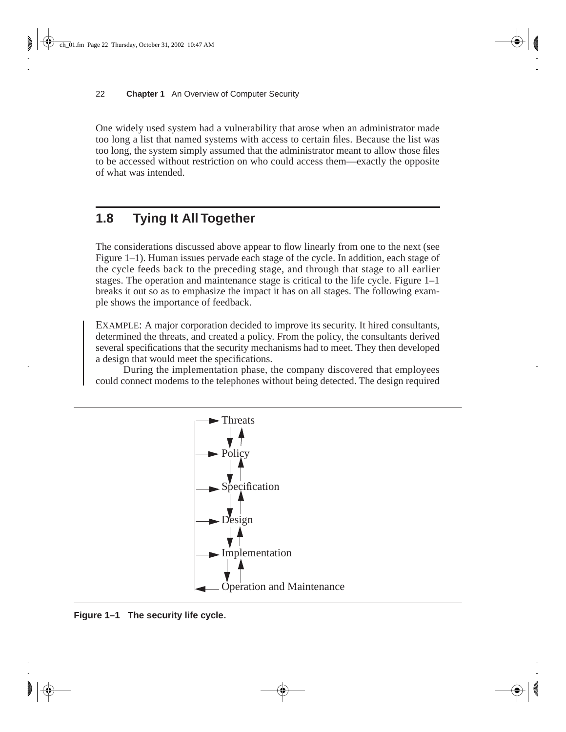One widely used system had a vulnerability that arose when an administrator made too long a list that named systems with access to certain files. Because the list was too long, the system simply assumed that the administrator meant to allow those files to be accessed without restriction on who could access them—exactly the opposite of what was intended.

# **1.8 Tying It All Together**

The considerations discussed above appear to flow linearly from one to the next (see Figure 1–1). Human issues pervade each stage of the cycle. In addition, each stage of the cycle feeds back to the preceding stage, and through that stage to all earlier stages. The operation and maintenance stage is critical to the life cycle. Figure 1–1 breaks it out so as to emphasize the impact it has on all stages. The following example shows the importance of feedback.

EXAMPLE: A major corporation decided to improve its security. It hired consultants, determined the threats, and created a policy. From the policy, the consultants derived several specifications that the security mechanisms had to meet. They then developed a design that would meet the specifications.

During the implementation phase, the company discovered that employees could connect modems to the telephones without being detected. The design required



**Figure 1–1 The security life cycle.**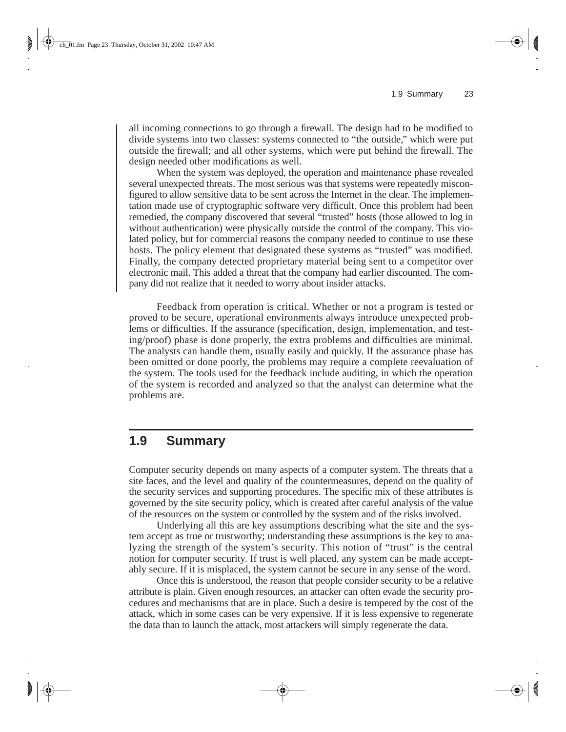1.9 Summary 23

all incoming connections to go through a firewall. The design had to be modified to divide systems into two classes: systems connected to "the outside," which were put outside the firewall; and all other systems, which were put behind the firewall. The design needed other modifications as well.

When the system was deployed, the operation and maintenance phase revealed several unexpected threats. The most serious was that systems were repeatedly misconfigured to allow sensitive data to be sent across the Internet in the clear. The implementation made use of cryptographic software very difficult. Once this problem had been remedied, the company discovered that several "trusted" hosts (those allowed to log in without authentication) were physically outside the control of the company. This violated policy, but for commercial reasons the company needed to continue to use these hosts. The policy element that designated these systems as "trusted" was modified. Finally, the company detected proprietary material being sent to a competitor over electronic mail. This added a threat that the company had earlier discounted. The company did not realize that it needed to worry about insider attacks.

Feedback from operation is critical. Whether or not a program is tested or proved to be secure, operational environments always introduce unexpected problems or difficulties. If the assurance (specification, design, implementation, and testing/proof) phase is done properly, the extra problems and difficulties are minimal. The analysts can handle them, usually easily and quickly. If the assurance phase has been omitted or done poorly, the problems may require a complete reevaluation of the system. The tools used for the feedback include auditing, in which the operation of the system is recorded and analyzed so that the analyst can determine what the problems are.

# **1.9 Summary**

Computer security depends on many aspects of a computer system. The threats that a site faces, and the level and quality of the countermeasures, depend on the quality of the security services and supporting procedures. The specific mix of these attributes is governed by the site security policy, which is created after careful analysis of the value of the resources on the system or controlled by the system and of the risks involved.

Underlying all this are key assumptions describing what the site and the system accept as true or trustworthy; understanding these assumptions is the key to analyzing the strength of the system's security. This notion of "trust" is the central notion for computer security. If trust is well placed, any system can be made acceptably secure. If it is misplaced, the system cannot be secure in any sense of the word.

Once this is understood, the reason that people consider security to be a relative attribute is plain. Given enough resources, an attacker can often evade the security procedures and mechanisms that are in place. Such a desire is tempered by the cost of the attack, which in some cases can be very expensive. If it is less expensive to regenerate the data than to launch the attack, most attackers will simply regenerate the data.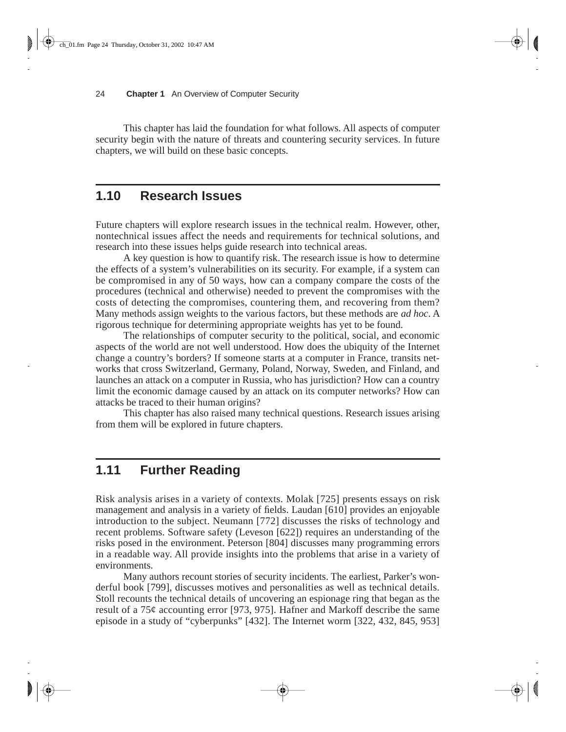This chapter has laid the foundation for what follows. All aspects of computer security begin with the nature of threats and countering security services. In future chapters, we will build on these basic concepts.

# **1.10 Research Issues**

Future chapters will explore research issues in the technical realm. However, other, nontechnical issues affect the needs and requirements for technical solutions, and research into these issues helps guide research into technical areas.

A key question is how to quantify risk. The research issue is how to determine the effects of a system's vulnerabilities on its security. For example, if a system can be compromised in any of 50 ways, how can a company compare the costs of the procedures (technical and otherwise) needed to prevent the compromises with the costs of detecting the compromises, countering them, and recovering from them? Many methods assign weights to the various factors, but these methods are *ad hoc*. A rigorous technique for determining appropriate weights has yet to be found.

The relationships of computer security to the political, social, and economic aspects of the world are not well understood. How does the ubiquity of the Internet change a country's borders? If someone starts at a computer in France, transits networks that cross Switzerland, Germany, Poland, Norway, Sweden, and Finland, and launches an attack on a computer in Russia, who has jurisdiction? How can a country limit the economic damage caused by an attack on its computer networks? How can attacks be traced to their human origins?

This chapter has also raised many technical questions. Research issues arising from them will be explored in future chapters.

# **1.11 Further Reading**

Risk analysis arises in a variety of contexts. Molak [725] presents essays on risk management and analysis in a variety of fields. Laudan [610] provides an enjoyable introduction to the subject. Neumann [772] discusses the risks of technology and recent problems. Software safety (Leveson [622]) requires an understanding of the risks posed in the environment. Peterson [804] discusses many programming errors in a readable way. All provide insights into the problems that arise in a variety of environments.

Many authors recount stories of security incidents. The earliest, Parker's wonderful book [799], discusses motives and personalities as well as technical details. Stoll recounts the technical details of uncovering an espionage ring that began as the result of a 75¢ accounting error [973, 975]. Hafner and Markoff describe the same episode in a study of "cyberpunks" [432]. The Internet worm [322, 432, 845, 953]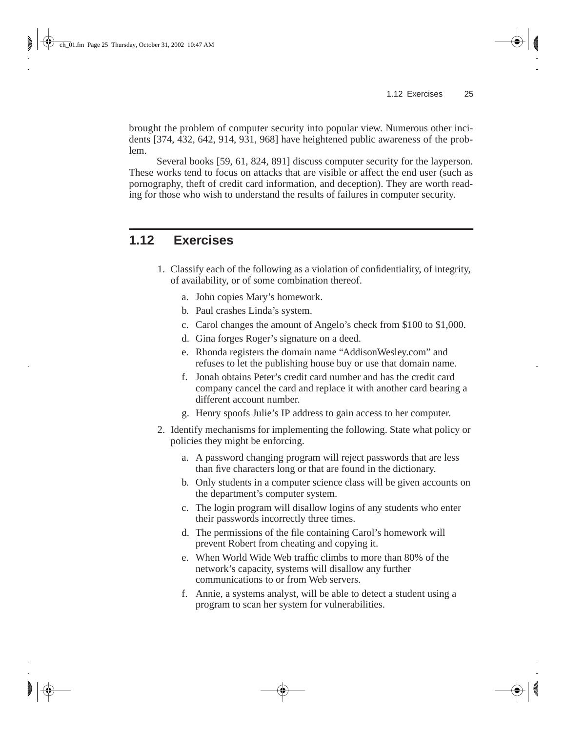1.12 Exercises 25

brought the problem of computer security into popular view. Numerous other incidents [374, 432, 642, 914, 931, 968] have heightened public awareness of the problem.

Several books [59, 61, 824, 891] discuss computer security for the layperson. These works tend to focus on attacks that are visible or affect the end user (such as pornography, theft of credit card information, and deception). They are worth reading for those who wish to understand the results of failures in computer security.

# **1.12 Exercises**

- 1. Classify each of the following as a violation of confidentiality, of integrity, of availability, or of some combination thereof.
	- a. John copies Mary's homework.
	- b. Paul crashes Linda's system.
	- c. Carol changes the amount of Angelo's check from \$100 to \$1,000.
	- d. Gina forges Roger's signature on a deed.
	- e. Rhonda registers the domain name "AddisonWesley.com" and refuses to let the publishing house buy or use that domain name.
	- f. Jonah obtains Peter's credit card number and has the credit card company cancel the card and replace it with another card bearing a different account number.
	- g. Henry spoofs Julie's IP address to gain access to her computer.
- 2. Identify mechanisms for implementing the following. State what policy or policies they might be enforcing.
	- a. A password changing program will reject passwords that are less than five characters long or that are found in the dictionary.
	- b. Only students in a computer science class will be given accounts on the department's computer system.
	- c. The login program will disallow logins of any students who enter their passwords incorrectly three times.
	- d. The permissions of the file containing Carol's homework will prevent Robert from cheating and copying it.
	- e. When World Wide Web traffic climbs to more than 80% of the network's capacity, systems will disallow any further communications to or from Web servers.
	- f. Annie, a systems analyst, will be able to detect a student using a program to scan her system for vulnerabilities.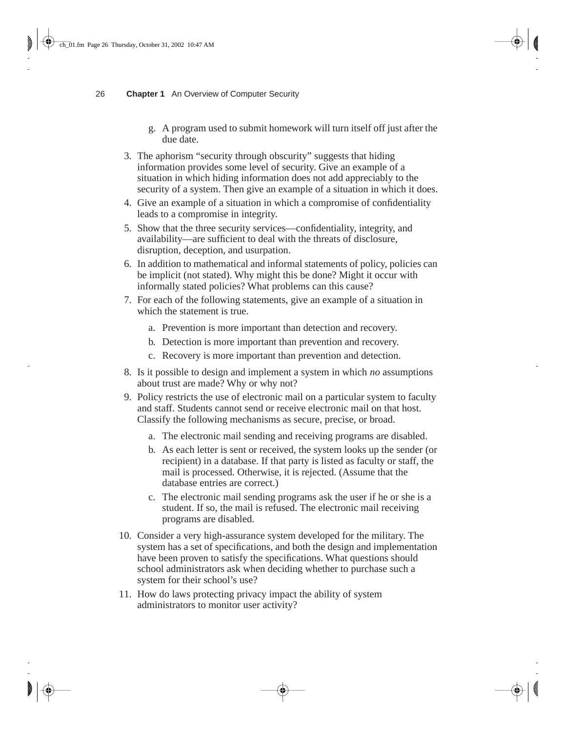- g. A program used to submit homework will turn itself off just after the due date.
- 3. The aphorism "security through obscurity" suggests that hiding information provides some level of security. Give an example of a situation in which hiding information does not add appreciably to the security of a system. Then give an example of a situation in which it does.
- 4. Give an example of a situation in which a compromise of confidentiality leads to a compromise in integrity.
- 5. Show that the three security services—confidentiality, integrity, and availability—are sufficient to deal with the threats of disclosure, disruption, deception, and usurpation.
- 6. In addition to mathematical and informal statements of policy, policies can be implicit (not stated). Why might this be done? Might it occur with informally stated policies? What problems can this cause?
- 7. For each of the following statements, give an example of a situation in which the statement is true.
	- a. Prevention is more important than detection and recovery.
	- b. Detection is more important than prevention and recovery.
	- c. Recovery is more important than prevention and detection.
- 8. Is it possible to design and implement a system in which *no* assumptions about trust are made? Why or why not?
- 9. Policy restricts the use of electronic mail on a particular system to faculty and staff. Students cannot send or receive electronic mail on that host. Classify the following mechanisms as secure, precise, or broad.
	- a. The electronic mail sending and receiving programs are disabled.
	- b. As each letter is sent or received, the system looks up the sender (or recipient) in a database. If that party is listed as faculty or staff, the mail is processed. Otherwise, it is rejected. (Assume that the database entries are correct.)
	- c. The electronic mail sending programs ask the user if he or she is a student. If so, the mail is refused. The electronic mail receiving programs are disabled.
- 10. Consider a very high-assurance system developed for the military. The system has a set of specifications, and both the design and implementation have been proven to satisfy the specifications. What questions should school administrators ask when deciding whether to purchase such a system for their school's use?
- 11. How do laws protecting privacy impact the ability of system administrators to monitor user activity?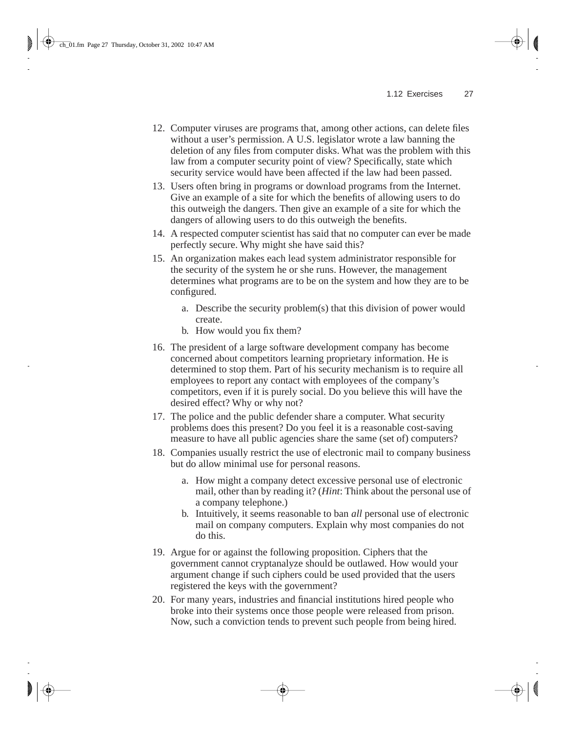1.12 Exercises 27

- 12. Computer viruses are programs that, among other actions, can delete files without a user's permission. A U.S. legislator wrote a law banning the deletion of any files from computer disks. What was the problem with this law from a computer security point of view? Specifically, state which security service would have been affected if the law had been passed.
- 13. Users often bring in programs or download programs from the Internet. Give an example of a site for which the benefits of allowing users to do this outweigh the dangers. Then give an example of a site for which the dangers of allowing users to do this outweigh the benefits.
- 14. A respected computer scientist has said that no computer can ever be made perfectly secure. Why might she have said this?
- 15. An organization makes each lead system administrator responsible for the security of the system he or she runs. However, the management determines what programs are to be on the system and how they are to be configured.
	- a. Describe the security problem(s) that this division of power would create.
	- b. How would you fix them?
- 16. The president of a large software development company has become concerned about competitors learning proprietary information. He is determined to stop them. Part of his security mechanism is to require all employees to report any contact with employees of the company's competitors, even if it is purely social. Do you believe this will have the desired effect? Why or why not?
- 17. The police and the public defender share a computer. What security problems does this present? Do you feel it is a reasonable cost-saving measure to have all public agencies share the same (set of) computers?
- 18. Companies usually restrict the use of electronic mail to company business but do allow minimal use for personal reasons.
	- a. How might a company detect excessive personal use of electronic mail, other than by reading it? (*Hint*: Think about the personal use of a company telephone.)
	- b. Intuitively, it seems reasonable to ban *all* personal use of electronic mail on company computers. Explain why most companies do not do this.
- 19. Argue for or against the following proposition. Ciphers that the government cannot cryptanalyze should be outlawed. How would your argument change if such ciphers could be used provided that the users registered the keys with the government?
- 20. For many years, industries and financial institutions hired people who broke into their systems once those people were released from prison. Now, such a conviction tends to prevent such people from being hired.